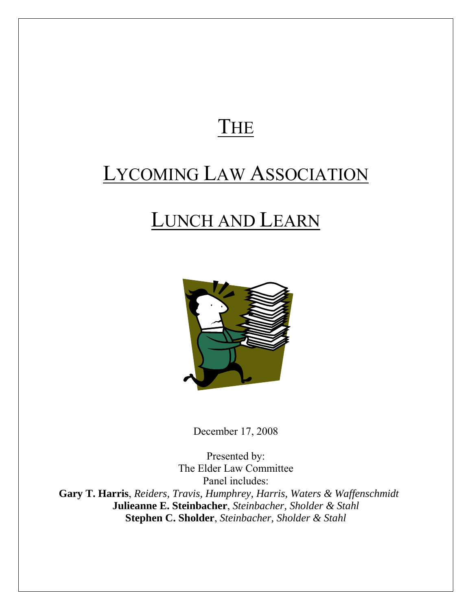## THE

# LYCOMING LAW ASSOCIATION

# LUNCH AND LEARN



December 17, 2008

Presented by: The Elder Law Committee Panel includes: **Gary T. Harris**, *Reiders, Travis, Humphrey, Harris, Waters & Waffenschmidt*  **Julieanne E. Steinbacher**, *Steinbacher, Sholder & Stahl* **Stephen C. Sholder**, *Steinbacher, Sholder & Stahl*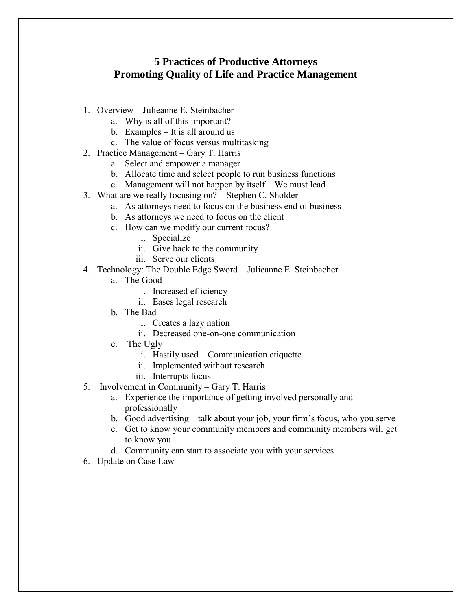#### **5 Practices of Productive Attorneys Promoting Quality of Life and Practice Management**

- 1. Overview Julieanne E. Steinbacher
	- a. Why is all of this important?
	- b. Examples It is all around us
	- c. The value of focus versus multitasking
- 2. Practice Management Gary T. Harris
	- a. Select and empower a manager
	- b. Allocate time and select people to run business functions
	- c. Management will not happen by itself We must lead
- 3. What are we really focusing on? Stephen C. Sholder
	- a. As attorneys need to focus on the business end of business
	- b. As attorneys we need to focus on the client
	- c. How can we modify our current focus?
		- i. Specialize
		- ii. Give back to the community
		- iii. Serve our clients
- 4. Technology: The Double Edge Sword Julieanne E. Steinbacher
	- a. The Good
		- i. Increased efficiency
		- ii. Eases legal research
	- b. The Bad
		- i. Creates a lazy nation
		- ii. Decreased one-on-one communication
	- c. The Ugly
		- i. Hastily used Communication etiquette
		- ii. Implemented without research
		- iii. Interrupts focus
- 5. Involvement in Community Gary T. Harris
	- a. Experience the importance of getting involved personally and professionally
	- b. Good advertising talk about your job, your firm's focus, who you serve
	- c. Get to know your community members and community members will get to know you
	- d. Community can start to associate you with your services
- 6. Update on Case Law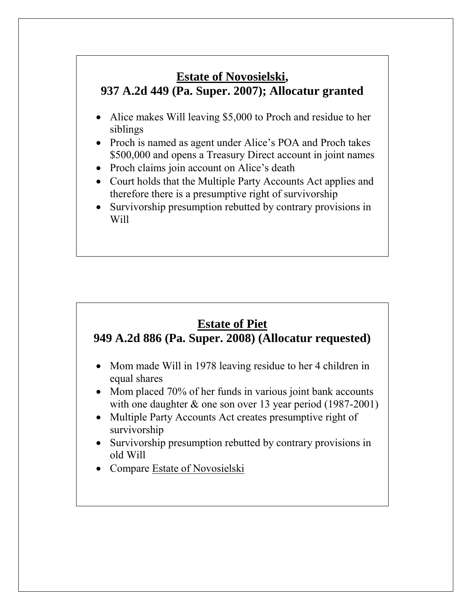### **Estate of Novosielski, 937 A.2d 449 (Pa. Super. 2007); Allocatur granted**

- Alice makes Will leaving \$5,000 to Proch and residue to her siblings
- Proch is named as agent under Alice's POA and Proch takes \$500,000 and opens a Treasury Direct account in joint names
- Proch claims join account on Alice's death
- Court holds that the Multiple Party Accounts Act applies and therefore there is a presumptive right of survivorship
- Survivorship presumption rebutted by contrary provisions in Will

### **Estate of Piet**

#### **949 A.2d 886 (Pa. Super. 2008) (Allocatur requested)**

- Mom made Will in 1978 leaving residue to her 4 children in equal shares
- Mom placed 70% of her funds in various joint bank accounts with one daughter & one son over 13 year period (1987-2001)
- Multiple Party Accounts Act creates presumptive right of survivorship
- Survivorship presumption rebutted by contrary provisions in old Will
- Compare Estate of Novosielski